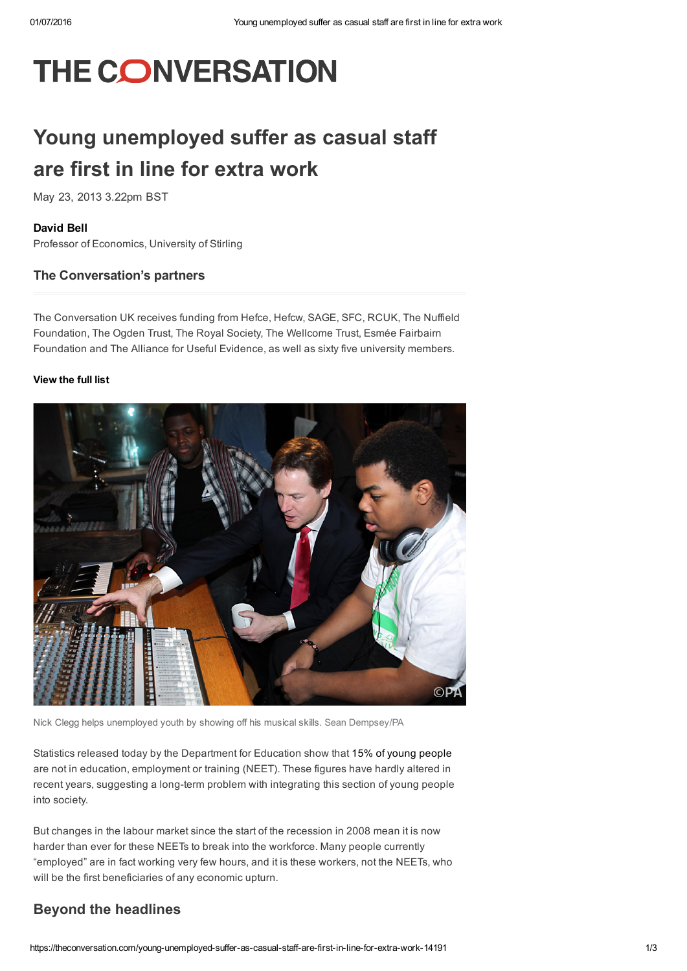# **THE CONVERSATION**

## Young unemployed suffer as casual staff are first in line for extra work

May 23, 2013 3.22pm BST

#### [David](https://theconversation.com/profiles/david-bell-93411) Bell

Professor of Economics, University of Stirling

#### The Conversation's partners

The Conversation UK receives funding from Hefce, Hefcw, SAGE, SFC, RCUK, The Nuffield Foundation, The Ogden Trust, The Royal Society, The Wellcome Trust, Esmée Fairbairn Foundation and The Alliance for Useful Evidence, as well as sixty five university members.

#### [View](https://theconversation.com/uk/partners) the full list



Nick Clegg helps unemployed youth by showing off his musical skills. Sean Dempsey/PA

Statistics released today by the Department for Education show that 15% of young [people](https://www.gov.uk/government/uploads/system/uploads/attachment_data/file/201104/Quarterly_Brief_NEET_Q1_2013_pdf.pdf) are not in education, employment or training (NEET). These figures have hardly altered in recent years, suggesting a long-term problem with integrating this section of young people into society.

But changes in the labour market since the start of the recession in 2008 mean it is now harder than ever for these NEETs to break into the workforce. Many people currently "employed" are in fact working very few hours, and it is these workers, not the NEETs, who will be the first beneficiaries of any economic upturn.

#### Beyond the headlines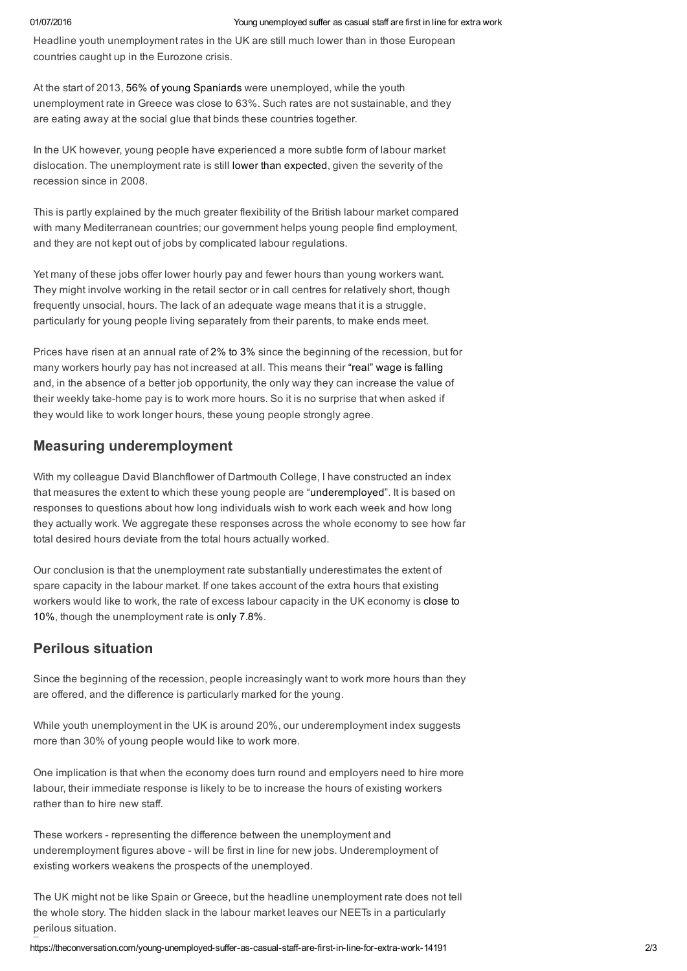Headline youth unemployment rates in the UK are still much lower than in those European countries caught up in the Eurozone crisis.

At the start of 2013, 56% of young [Spaniards](http://epp.eurostat.ec.europa.eu/cache/ITY_PUBLIC/3-30042013-BP/EN/3-30042013-BP-EN.PDF) were unemployed, while the youth unemployment rate in Greece was close to 63%. Such rates are not sustainable, and they are eating away at the social glue that binds these countries together.

In the UK however, young people have experienced a more subtle form of labour market dislocation. The unemployment rate is still lower than [expected](https://theconversation.com/should-we-really-be-boasting-about-the-british-jobs-market-14184), given the severity of the recession since in 2008.

This is partly explained by the much greater flexibility of the British labour market compared with many Mediterranean countries; our government helps young people find employment, and they are not kept out of jobs by complicated labour regulations.

Yet many of these jobs offer lower hourly pay and fewer hours than young workers want. They might involve working in the retail sector or in call centres for relatively short, though frequently unsocial, hours. The lack of an adequate wage means that it is a struggle, particularly for young people living separately from their parents, to make ends meet.

Prices have risen at an annual rate of 2% to [3%](http://www.ons.gov.uk/ons/rel/cpi/consumer-price-indices/april-2013/consumer-price-inflation-summary--april-2013.html) since the beginning of the recession, but for many workers hourly pay has not increased at all. This means their "real" wage is [falling](http://www.ons.gov.uk/ons/rel/regional-trends/regional-economic-analysis/changes-in-real-earnings-in-the-uk-and-london--2002-to-2012/sum-real-wages-down-by-8-5--since-2009.html) and, in the absence of a better job opportunity, the only way they can increase the value of their weekly take-home pay is to work more hours. So it is no surprise that when asked if they would like to work longer hours, these young people strongly agree.

### Measuring underemployment

With my colleague David Blanchflower of Dartmouth College, I have constructed an index that measures the extent to which these young people are ["underemployed"](http://ner.sagepub.com/content/224/1/F8.full.pdf+html). It is based on responses to questions about how long individuals wish to work each week and how long they actually work. We aggregate these responses across the whole economy to see how far total desired hours deviate from the total hours actually worked.

Our conclusion is that the unemployment rate substantially underestimates the extent of spare capacity in the labour market. If one takes account of the extra hours that existing workers would like to work, the rate of excess labour capacity in the UK economy is close to 10%, though the [unemployment](http://ner.sagepub.com/content/224/1/F8.full.pdf+html) rate is only [7.8%.](http://www.ons.gov.uk/ons/rel/lms/labour-market-statistics/may-2013/statistical-bulletin.html)

### Perilous situation

Since the beginning of the recession, people increasingly want to work more hours than they are offered, and the difference is particularly marked for the young.

While youth unemployment in the UK is around 20%, our underemployment index suggests more than 30% of young people would like to work more.

One implication is that when the economy does turn round and employers need to hire more labour, their immediate response is likely to be to increase the hours of existing workers rather than to hire new staff.

These workers - representing the difference between the unemployment and underemployment figures above - will be first in line for new jobs. Underemployment of existing workers weakens the prospects of the unemployed.

The UK might not be like Spain or Greece, but the headline unemployment rate does not tell the whole story. The hidden slack in the labour market leaves our NEETs in a particularly perilous situation.

https://theconversation.com/young-unemployed-suffer-as-casual-staff-are-first-in-line-for-extra-work-14191